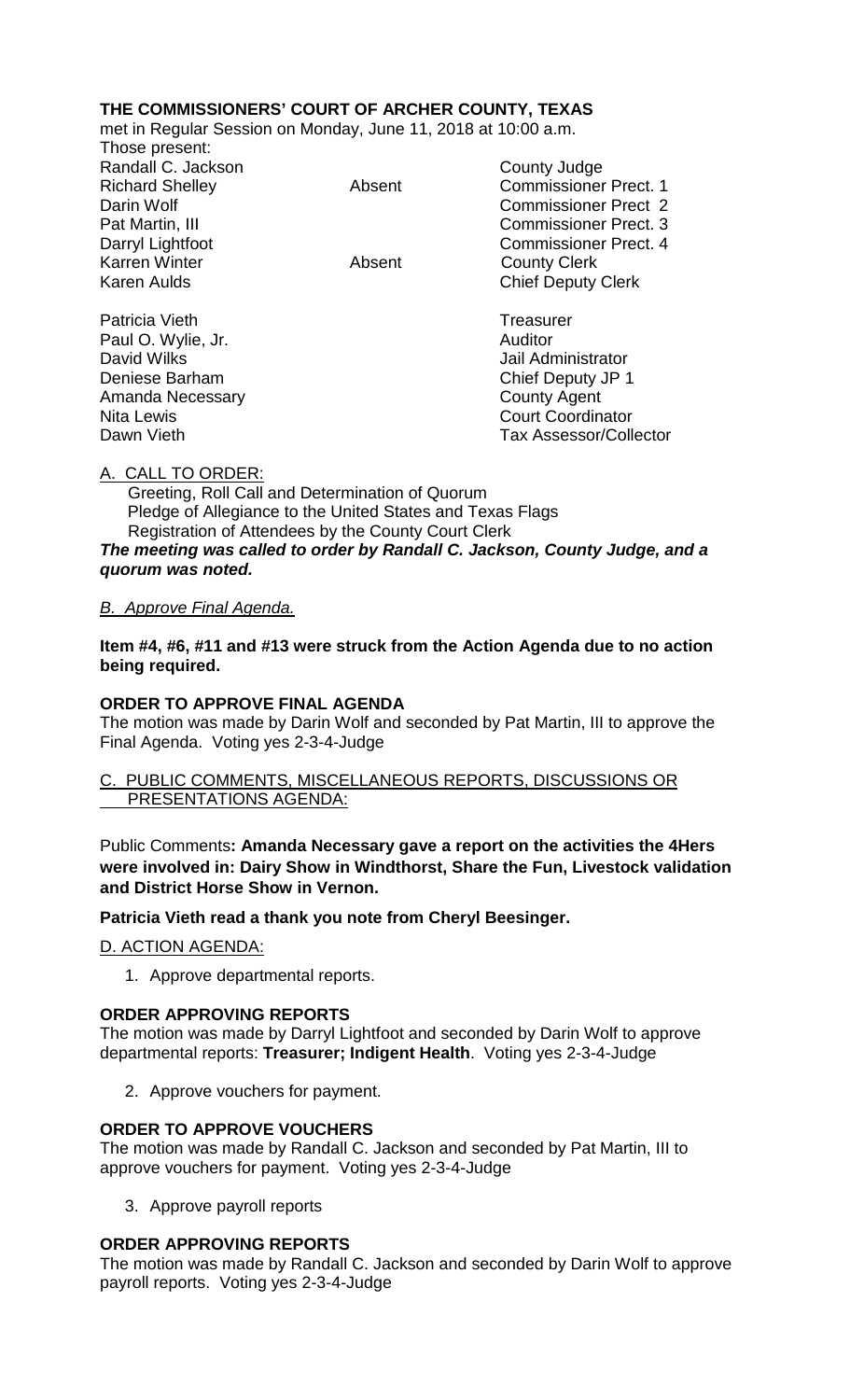# **THE COMMISSIONERS' COURT OF ARCHER COUNTY, TEXAS**

met in Regular Session on Monday, June 11, 2018 at 10:00 a.m.

| Those present:         |        |                              |
|------------------------|--------|------------------------------|
| Randall C. Jackson     |        | County Judge                 |
| <b>Richard Shelley</b> | Absent | <b>Commissioner Prect. 1</b> |
| Darin Wolf             |        | <b>Commissioner Prect 2</b>  |
| Pat Martin, III        |        | <b>Commissioner Prect. 3</b> |
| Darryl Lightfoot       |        | <b>Commissioner Prect. 4</b> |
| <b>Karren Winter</b>   | Absent | <b>County Clerk</b>          |
| <b>Karen Aulds</b>     |        | <b>Chief Deputy Clerk</b>    |
| Patricia Vieth         |        | Treasurer                    |
| Paul O. Wylie, Jr.     |        | Auditor                      |
| David Wilks            |        | Jail Administrator           |
| Deniese Barham         |        | Chief Deputy JP 1            |

Amanda Necessary **County Agent** County Agent Nita Lewis Court Coordinator Dawn Vieth Tax Assessor/Collector

#### A. CALL TO ORDER:

 Greeting, Roll Call and Determination of Quorum Pledge of Allegiance to the United States and Texas Flags Registration of Attendees by the County Court Clerk *The meeting was called to order by Randall C. Jackson, County Judge, and a quorum was noted.*

### *B. Approve Final Agenda.*

**Item #4, #6, #11 and #13 were struck from the Action Agenda due to no action being required.**

#### **ORDER TO APPROVE FINAL AGENDA**

The motion was made by Darin Wolf and seconded by Pat Martin, III to approve the Final Agenda. Voting yes 2-3-4-Judge

### C. PUBLIC COMMENTS, MISCELLANEOUS REPORTS, DISCUSSIONS OR PRESENTATIONS AGENDA:

Public Comments**: Amanda Necessary gave a report on the activities the 4Hers were involved in: Dairy Show in Windthorst, Share the Fun, Livestock validation and District Horse Show in Vernon.**

**Patricia Vieth read a thank you note from Cheryl Beesinger.**

D. ACTION AGENDA:

1. Approve departmental reports.

#### **ORDER APPROVING REPORTS**

The motion was made by Darryl Lightfoot and seconded by Darin Wolf to approve departmental reports: **Treasurer; Indigent Health**. Voting yes 2-3-4-Judge

2. Approve vouchers for payment.

## **ORDER TO APPROVE VOUCHERS**

The motion was made by Randall C. Jackson and seconded by Pat Martin, III to approve vouchers for payment. Voting yes 2-3-4-Judge

3. Approve payroll reports

## **ORDER APPROVING REPORTS**

The motion was made by Randall C. Jackson and seconded by Darin Wolf to approve payroll reports. Voting yes 2-3-4-Judge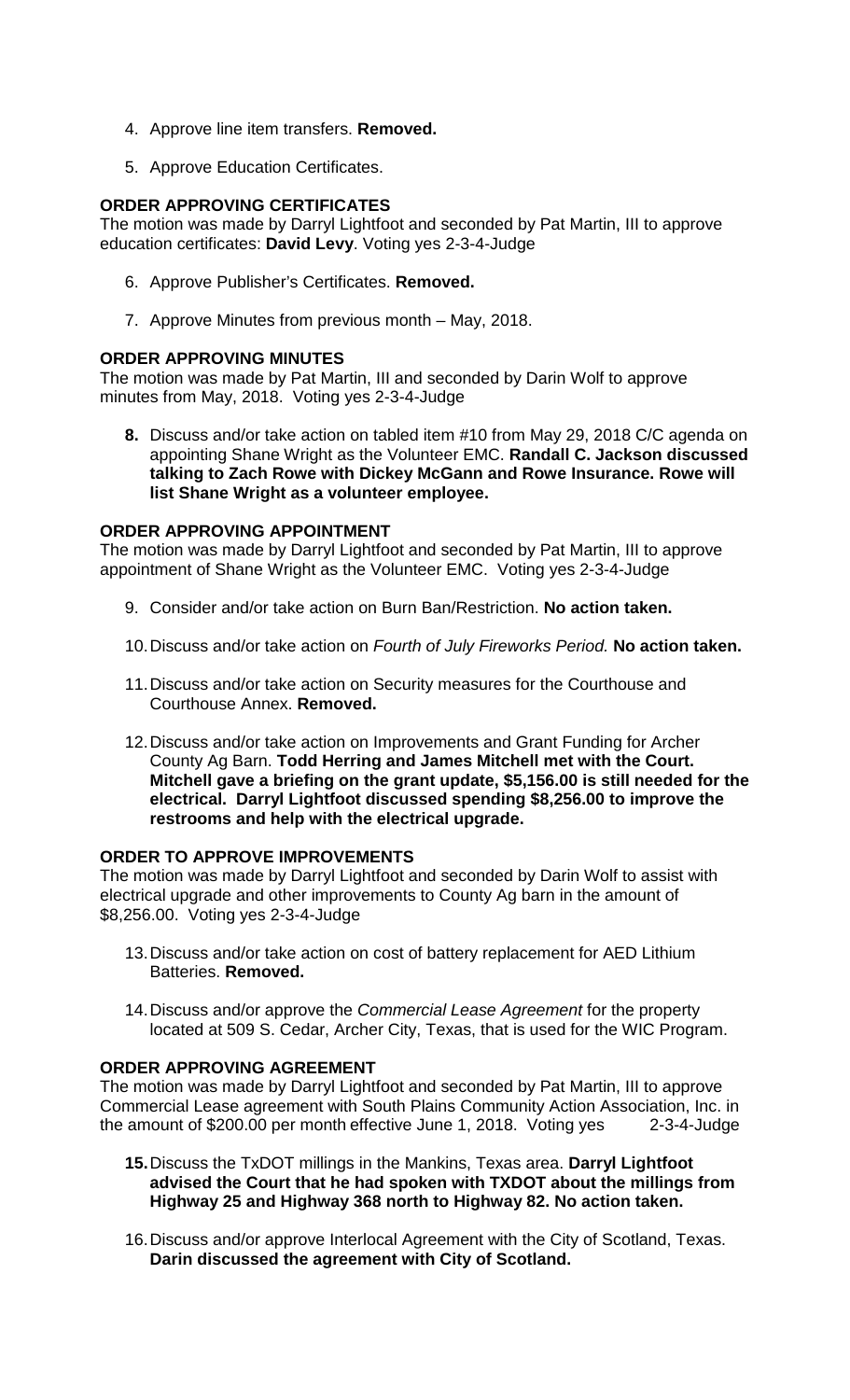- 4. Approve line item transfers. **Removed.**
- 5. Approve Education Certificates.

### **ORDER APPROVING CERTIFICATES**

The motion was made by Darryl Lightfoot and seconded by Pat Martin, III to approve education certificates: **David Levy**. Voting yes 2-3-4-Judge

- 6. Approve Publisher's Certificates. **Removed.**
- 7. Approve Minutes from previous month May, 2018.

### **ORDER APPROVING MINUTES**

The motion was made by Pat Martin, III and seconded by Darin Wolf to approve minutes from May, 2018. Voting yes 2-3-4-Judge

**8.** Discuss and/or take action on tabled item #10 from May 29, 2018 C/C agenda on appointing Shane Wright as the Volunteer EMC. **Randall C. Jackson discussed talking to Zach Rowe with Dickey McGann and Rowe Insurance. Rowe will list Shane Wright as a volunteer employee.**

### **ORDER APPROVING APPOINTMENT**

The motion was made by Darryl Lightfoot and seconded by Pat Martin, III to approve appointment of Shane Wright as the Volunteer EMC. Voting yes 2-3-4-Judge

- 9. Consider and/or take action on Burn Ban/Restriction. **No action taken.**
- 10.Discuss and/or take action on *Fourth of July Fireworks Period.* **No action taken.**
- 11.Discuss and/or take action on Security measures for the Courthouse and Courthouse Annex. **Removed.**
- 12.Discuss and/or take action on Improvements and Grant Funding for Archer County Ag Barn. **Todd Herring and James Mitchell met with the Court. Mitchell gave a briefing on the grant update, \$5,156.00 is still needed for the electrical. Darryl Lightfoot discussed spending \$8,256.00 to improve the restrooms and help with the electrical upgrade.**

#### **ORDER TO APPROVE IMPROVEMENTS**

The motion was made by Darryl Lightfoot and seconded by Darin Wolf to assist with electrical upgrade and other improvements to County Ag barn in the amount of \$8,256.00. Voting yes 2-3-4-Judge

- 13.Discuss and/or take action on cost of battery replacement for AED Lithium Batteries. **Removed.**
- 14.Discuss and/or approve the *Commercial Lease Agreement* for the property located at 509 S. Cedar, Archer City, Texas, that is used for the WIC Program.

#### **ORDER APPROVING AGREEMENT**

The motion was made by Darryl Lightfoot and seconded by Pat Martin, III to approve Commercial Lease agreement with South Plains Community Action Association, Inc. in the amount of \$200.00 per month effective June 1, 2018. Voting yes 2-3-4-Judge

- **15.**Discuss the TxDOT millings in the Mankins, Texas area. **Darryl Lightfoot advised the Court that he had spoken with TXDOT about the millings from Highway 25 and Highway 368 north to Highway 82. No action taken.**
- 16.Discuss and/or approve Interlocal Agreement with the City of Scotland, Texas. **Darin discussed the agreement with City of Scotland.**